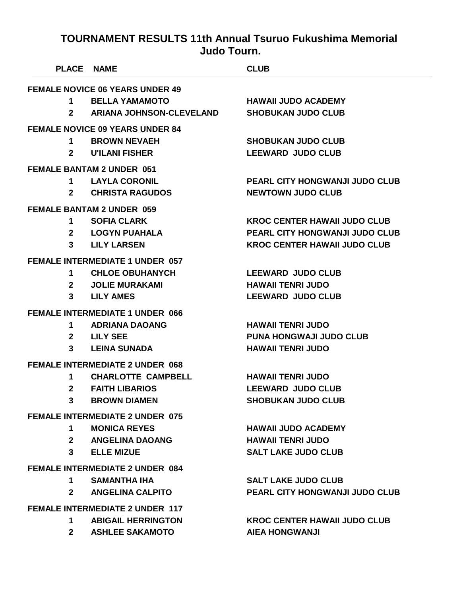| <b>PLACE NAME</b> |                                        | <b>CLUB</b>                           |
|-------------------|----------------------------------------|---------------------------------------|
|                   | <b>FEMALE NOVICE 06 YEARS UNDER 49</b> |                                       |
|                   | 1 BELLA YAMAMOTO                       | <b>HAWAII JUDO ACADEMY</b>            |
| $2^{\circ}$       | <b>ARIANA JOHNSON-CLEVELAND</b>        | <b>SHOBUKAN JUDO CLUB</b>             |
|                   | <b>FEMALE NOVICE 09 YEARS UNDER 84</b> |                                       |
| $\mathbf 1$       | <b>BROWN NEVAEH</b>                    | <b>SHOBUKAN JUDO CLUB</b>             |
| $2^{\sim}$        | <b>U'ILANI FISHER</b>                  | <b>LEEWARD JUDO CLUB</b>              |
|                   | <b>FEMALE BANTAM 2 UNDER 051</b>       |                                       |
|                   | 1 LAYLA CORONIL                        | <b>PEARL CITY HONGWANJI JUDO CLUB</b> |
| $2^{\sim}$        | <b>CHRISTA RAGUDOS</b>                 | <b>NEWTOWN JUDO CLUB</b>              |
|                   | <b>FEMALE BANTAM 2 UNDER 059</b>       |                                       |
| 1.                | <b>SOFIA CLARK</b>                     | <b>KROC CENTER HAWAII JUDO CLUB</b>   |
|                   | 2 LOGYN PUAHALA                        | <b>PEARL CITY HONGWANJI JUDO CLUB</b> |
|                   | 3 LILY LARSEN                          | <b>KROC CENTER HAWAII JUDO CLUB</b>   |
|                   | <b>FEMALE INTERMEDIATE 1 UNDER 057</b> |                                       |
| $1 \quad$         | <b>CHLOE OBUHANYCH</b>                 | <b>LEEWARD JUDO CLUB</b>              |
|                   | 2 JOLIE MURAKAMI                       | <b>HAWAII TENRI JUDO</b>              |
|                   | 3 LILY AMES                            | <b>LEEWARD JUDO CLUB</b>              |
|                   | <b>FEMALE INTERMEDIATE 1 UNDER 066</b> |                                       |
| 1                 | <b>ADRIANA DAOANG</b>                  | <b>HAWAII TENRI JUDO</b>              |
|                   | 2 LILY SEE                             | <b>PUNA HONGWAJI JUDO CLUB</b>        |
| $3^{\circ}$       | <b>LEINA SUNADA</b>                    | <b>HAWAII TENRI JUDO</b>              |
|                   | <b>FEMALE INTERMEDIATE 2 UNDER 068</b> |                                       |
| 1                 | <b>CHARLOTTE CAMPBELL</b>              | <b>HAWAII TENRI JUDO</b>              |
| $\mathbf{2}$      | <b>FAITH LIBARIOS</b>                  | <b>LEEWARD JUDO CLUB</b>              |
| 3                 | <b>BROWN DIAMEN</b>                    | <b>SHOBUKAN JUDO CLUB</b>             |
|                   | <b>FEMALE INTERMEDIATE 2 UNDER 075</b> |                                       |
| 1                 | <b>MONICA REYES</b>                    | <b>HAWAII JUDO ACADEMY</b>            |
| $2^{\sim}$        | <b>ANGELINA DAOANG</b>                 | <b>HAWAII TENRI JUDO</b>              |
| $\mathbf{3}$      | <b>ELLE MIZUE</b>                      | <b>SALT LAKE JUDO CLUB</b>            |
|                   | <b>FEMALE INTERMEDIATE 2 UNDER 084</b> |                                       |
| 1                 | <b>SAMANTHA IHA</b>                    | <b>SALT LAKE JUDO CLUB</b>            |
| $\mathbf{2}$      | <b>ANGELINA CALPITO</b>                | <b>PEARL CITY HONGWANJI JUDO CLUB</b> |
|                   | <b>FEMALE INTERMEDIATE 2 UNDER 117</b> |                                       |
| 1                 | <b>ABIGAIL HERRINGTON</b>              | <b>KROC CENTER HAWAII JUDO CLUB</b>   |
| $2^{\circ}$       | <b>ASHLEE SAKAMOTO</b>                 | <b>AIEA HONGWANJI</b>                 |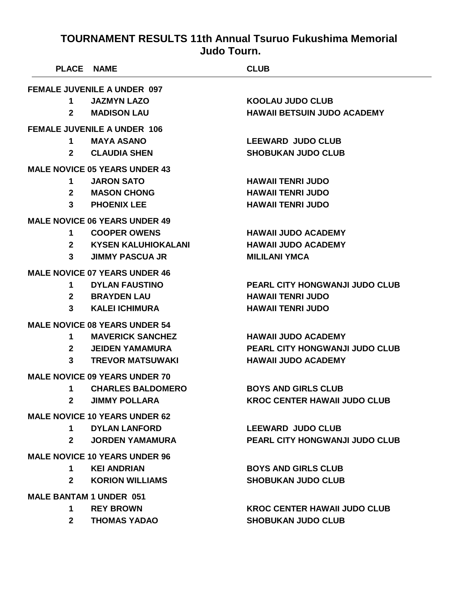| <b>PLACE NAME</b>                    |                                      | <b>CLUB</b>                           |  |
|--------------------------------------|--------------------------------------|---------------------------------------|--|
|                                      | <b>FEMALE JUVENILE A UNDER 097</b>   |                                       |  |
| 1                                    | <b>JAZMYN LAZO</b>                   | <b>KOOLAU JUDO CLUB</b>               |  |
| $\mathbf{2}$                         | <b>MADISON LAU</b>                   | <b>HAWAII BETSUIN JUDO ACADEMY</b>    |  |
|                                      | <b>FEMALE JUVENILE A UNDER 106</b>   |                                       |  |
| 1                                    | <b>MAYA ASANO</b>                    | <b>LEEWARD JUDO CLUB</b>              |  |
| $\mathbf{2}$                         | <b>CLAUDIA SHEN</b>                  | <b>SHOBUKAN JUDO CLUB</b>             |  |
|                                      | <b>MALE NOVICE 05 YEARS UNDER 43</b> |                                       |  |
| 1                                    | <b>JARON SATO</b>                    | <b>HAWAII TENRI JUDO</b>              |  |
| 2 <sup>1</sup>                       | <b>MASON CHONG</b>                   | <b>HAWAII TENRI JUDO</b>              |  |
| 3                                    | <b>PHOENIX LEE</b>                   | <b>HAWAII TENRI JUDO</b>              |  |
|                                      | <b>MALE NOVICE 06 YEARS UNDER 49</b> |                                       |  |
| 1.                                   | <b>COOPER OWENS</b>                  | <b>HAWAII JUDO ACADEMY</b>            |  |
| $\mathbf{2}$                         | <b>KYSEN KALUHIOKALANI</b>           | <b>HAWAII JUDO ACADEMY</b>            |  |
| 3 <sup>1</sup>                       | <b>JIMMY PASCUA JR</b>               | <b>MILILANI YMCA</b>                  |  |
|                                      | <b>MALE NOVICE 07 YEARS UNDER 46</b> |                                       |  |
| 1                                    | <b>DYLAN FAUSTINO</b>                | <b>PEARL CITY HONGWANJI JUDO CLUB</b> |  |
| $2^{\circ}$                          | <b>BRAYDEN LAU</b>                   | <b>HAWAII TENRI JUDO</b>              |  |
| 3                                    | <b>KALEI ICHIMURA</b>                | <b>HAWAII TENRI JUDO</b>              |  |
|                                      | <b>MALE NOVICE 08 YEARS UNDER 54</b> |                                       |  |
| 1                                    | <b>MAVERICK SANCHEZ</b>              | <b>HAWAII JUDO ACADEMY</b>            |  |
| $2^{\circ}$                          | <b>JEIDEN YAMAMURA</b>               | <b>PEARL CITY HONGWANJI JUDO CLUB</b> |  |
| 3                                    | <b>TREVOR MATSUWAKI</b>              | <b>HAWAII JUDO ACADEMY</b>            |  |
| <b>MALE NOVICE 09 YEARS UNDER 70</b> |                                      |                                       |  |
| 1                                    | <b>CHARLES BALDOMERO</b>             | <b>BOYS AND GIRLS CLUB</b>            |  |
| $\mathbf{2}$                         | <b>JIMMY POLLARA</b>                 | <b>KROC CENTER HAWAII JUDO CLUB</b>   |  |
| <b>MALE NOVICE 10 YEARS UNDER 62</b> |                                      |                                       |  |
|                                      | 1 DYLAN LANFORD                      | <b>LEEWARD JUDO CLUB</b>              |  |
| $2^{\circ}$                          | <b>JORDEN YAMAMURA</b>               | <b>PEARL CITY HONGWANJI JUDO CLUB</b> |  |
| <b>MALE NOVICE 10 YEARS UNDER 96</b> |                                      |                                       |  |
| 1                                    | <b>KEI ANDRIAN</b>                   | <b>BOYS AND GIRLS CLUB</b>            |  |
| $\mathbf{2}$                         | <b>KORION WILLIAMS</b>               | <b>SHOBUKAN JUDO CLUB</b>             |  |
| <b>MALE BANTAM 1 UNDER 051</b>       |                                      |                                       |  |
| $\mathbf 1$                          | <b>REY BROWN</b>                     | <b>KROC CENTER HAWAII JUDO CLUB</b>   |  |
| $2^{\circ}$                          | <b>THOMAS YADAO</b>                  | <b>SHOBUKAN JUDO CLUB</b>             |  |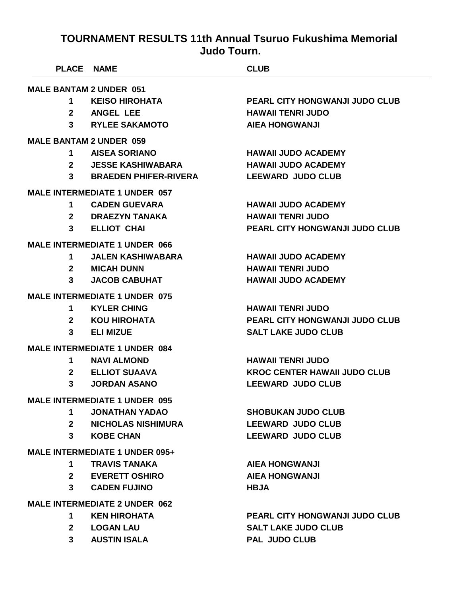| <b>PLACE NAME</b>              |                                       | <b>CLUB</b>                           |
|--------------------------------|---------------------------------------|---------------------------------------|
| <b>MALE BANTAM 2 UNDER 051</b> |                                       |                                       |
| 1                              | <b>KEISO HIROHATA</b>                 | <b>PEARL CITY HONGWANJI JUDO CLUB</b> |
| $\mathbf{2}$                   | <b>ANGEL LEE</b>                      | <b>HAWAII TENRI JUDO</b>              |
|                                | 3 RYLEE SAKAMOTO                      | <b>AIEA HONGWANJI</b>                 |
|                                | <b>MALE BANTAM 2 UNDER 059</b>        |                                       |
| 1                              | <b>AISEA SORIANO</b>                  | <b>HAWAII JUDO ACADEMY</b>            |
| $2^{\circ}$                    | <b>JESSE KASHIWABARA</b>              | <b>HAWAII JUDO ACADEMY</b>            |
| 3 <sup>1</sup>                 | <b>BRAEDEN PHIFER-RIVERA</b>          | <b>LEEWARD JUDO CLUB</b>              |
|                                | <b>MALE INTERMEDIATE 1 UNDER 057</b>  |                                       |
| 1                              | <b>CADEN GUEVARA</b>                  | <b>HAWAII JUDO ACADEMY</b>            |
|                                | 2 DRAEZYN TANAKA                      | <b>HAWAII TENRI JUDO</b>              |
| $3^{\circ}$                    | <b>ELLIOT CHAI</b>                    | PEARL CITY HONGWANJI JUDO CLUB        |
|                                | <b>MALE INTERMEDIATE 1 UNDER 066</b>  |                                       |
| 1.                             | <b>JALEN KASHIWABARA</b>              | <b>HAWAII JUDO ACADEMY</b>            |
|                                | 2 MICAH DUNN                          | <b>HAWAII TENRI JUDO</b>              |
| 3                              | <b>JACOB CABUHAT</b>                  | <b>HAWAII JUDO ACADEMY</b>            |
|                                | <b>MALE INTERMEDIATE 1 UNDER 075</b>  |                                       |
| 1.                             | <b>KYLER CHING</b>                    | <b>HAWAII TENRI JUDO</b>              |
| $\mathbf{2}$                   | KOU HIROHATA                          | <b>PEARL CITY HONGWANJI JUDO CLUB</b> |
| 3                              | <b>ELI MIZUE</b>                      | <b>SALT LAKE JUDO CLUB</b>            |
|                                | <b>MALE INTERMEDIATE 1 UNDER 084</b>  |                                       |
| 1.                             | <b>NAVI ALMOND</b>                    | <b>HAWAII TENRI JUDO</b>              |
| $\mathbf{2}$                   | <b>ELLIOT SUAAVA</b>                  | <b>KROC CENTER HAWAII JUDO CLUB</b>   |
| 3                              | <b>JORDAN ASANO</b>                   | <b>LEEWARD JUDO CLUB</b>              |
|                                | <b>MALE INTERMEDIATE 1 UNDER 095</b>  |                                       |
| 1                              | <b>JONATHAN YADAO</b>                 | <b>SHOBUKAN JUDO CLUB</b>             |
|                                | 2 NICHOLAS NISHIMURA                  | <b>LEEWARD JUDO CLUB</b>              |
| $3^{\circ}$                    | <b>KOBE CHAN</b>                      | <b>LEEWARD JUDO CLUB</b>              |
|                                | <b>MALE INTERMEDIATE 1 UNDER 095+</b> |                                       |
| 1                              | <b>TRAVIS TANAKA</b>                  | <b>AIEA HONGWANJI</b>                 |
|                                | 2 EVERETT OSHIRO                      | <b>AIEA HONGWANJI</b>                 |
| 3 <sup>7</sup>                 | <b>CADEN FUJINO</b>                   | <b>HBJA</b>                           |
|                                | <b>MALE INTERMEDIATE 2 UNDER 062</b>  |                                       |
| 1                              | <b>KEN HIROHATA</b>                   | <b>PEARL CITY HONGWANJI JUDO CLUB</b> |
|                                | 2 LOGAN LAU                           | <b>SALT LAKE JUDO CLUB</b>            |
|                                | 3 AUSTIN ISALA                        | <b>PAL JUDO CLUB</b>                  |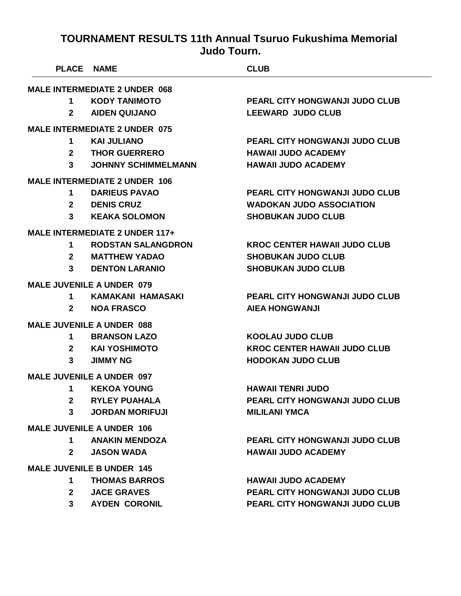|                | <b>PLACE NAME</b>                     | <b>CLUB</b>                           |
|----------------|---------------------------------------|---------------------------------------|
|                | <b>MALE INTERMEDIATE 2 UNDER 068</b>  |                                       |
| 1              | <b>KODY TANIMOTO</b>                  | <b>PEARL CITY HONGWANJI JUDO CLUB</b> |
| $\mathbf{2}$   | <b>AIDEN QUIJANO</b>                  | <b>LEEWARD JUDO CLUB</b>              |
|                | <b>MALE INTERMEDIATE 2 UNDER 075</b>  |                                       |
| 1              | <b>KAI JULIANO</b>                    | PEARL CITY HONGWANJI JUDO CLUB        |
| $\mathbf{2}$   | <b>THOR GUERRERO</b>                  | <b>HAWAII JUDO ACADEMY</b>            |
| 3              | <b>JOHNNY SCHIMMELMANN</b>            | <b>HAWAII JUDO ACADEMY</b>            |
|                | <b>MALE INTERMEDIATE 2 UNDER 106</b>  |                                       |
| $\mathbf 1$    | <b>DARIEUS PAVAO</b>                  | <b>PEARL CITY HONGWANJI JUDO CLUB</b> |
| $\mathbf{2}$   | <b>DENIS CRUZ</b>                     | <b>WADOKAN JUDO ASSOCIATION</b>       |
| 3              | <b>KEAKA SOLOMON</b>                  | <b>SHOBUKAN JUDO CLUB</b>             |
|                | <b>MALE INTERMEDIATE 2 UNDER 117+</b> |                                       |
| 1              | <b>RODSTAN SALANGDRON</b>             | <b>KROC CENTER HAWAII JUDO CLUB</b>   |
| $\mathbf{2}$   | <b>MATTHEW YADAO</b>                  | <b>SHOBUKAN JUDO CLUB</b>             |
| 3              | <b>DENTON LARANIO</b>                 | <b>SHOBUKAN JUDO CLUB</b>             |
|                | <b>MALE JUVENILE A UNDER 079</b>      |                                       |
| $\mathbf 1$    | <b>KAMAKANI HAMASAKI</b>              | <b>PEARL CITY HONGWANJI JUDO CLUB</b> |
| $\mathbf{2}$   | <b>NOA FRASCO</b>                     | <b>AIEA HONGWANJI</b>                 |
|                | <b>MALE JUVENILE A UNDER 088</b>      |                                       |
| $\mathbf 1$    | <b>BRANSON LAZO</b>                   | <b>KOOLAU JUDO CLUB</b>               |
| $\mathbf{2}$   | <b>KAI YOSHIMOTO</b>                  | <b>KROC CENTER HAWAII JUDO CLUB</b>   |
| 3              | <b>JIMMY NG</b>                       | <b>HODOKAN JUDO CLUB</b>              |
|                | <b>MALE JUVENILE A UNDER 097</b>      |                                       |
| 1              | <b>KEKOA YOUNG</b>                    | <b>HAWAII TENRI JUDO</b>              |
| $\mathbf{2}$   | <b>RYLEY PUAHALA</b>                  | PEARL CITY HONGWANJI JUDO CLUB        |
| 3              | <b>JORDAN MORIFUJI</b>                | <b>MILILANI YMCA</b>                  |
|                | <b>MALE JUVENILE A UNDER 106</b>      |                                       |
| $1 \quad$      | <b>ANAKIN MENDOZA</b>                 | <b>PEARL CITY HONGWANJI JUDO CLUB</b> |
| $\mathbf{2}$   | <b>JASON WADA</b>                     | <b>HAWAII JUDO ACADEMY</b>            |
|                | <b>MALE JUVENILE B UNDER 145</b>      |                                       |
| 1              | <b>THOMAS BARROS</b>                  | <b>HAWAII JUDO ACADEMY</b>            |
| 2 <sup>1</sup> | <b>JACE GRAVES</b>                    | <b>PEARL CITY HONGWANJI JUDO CLUB</b> |
| $\mathbf{3}$   | <b>AYDEN CORONIL</b>                  | PEARL CITY HONGWANJI JUDO CLUB        |
|                |                                       |                                       |